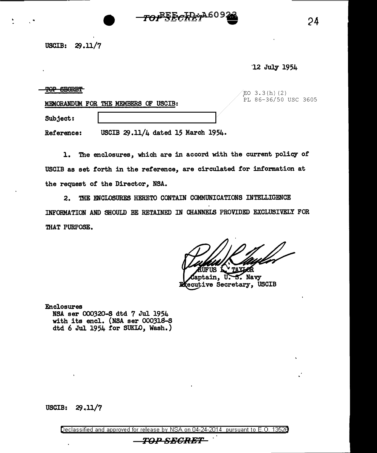## USCIB:  $29.11/7$

·12 July 1954

24

| <b>CLASSIC</b><br>םרות     |                                    | /EO 3.3(h)(2)<br>PL 86-36/50 USC 3605 |  |
|----------------------------|------------------------------------|---------------------------------------|--|
| MEMORANDUM FOR THE MEMBERS | USCIB:<br>Œ                        |                                       |  |
| Subject:                   |                                    |                                       |  |
| Reference:                 | USCIB 29.11/4 dated 15 March 1954. |                                       |  |

*TOPEECRET*A60

1. The enclosures, which are in accord with the current policy of USCIB as set forth in the reference, are circulated for information at the request of the Director, NSA.

2. THE ENCLOSURES HERETO CONTAIN COMMUNICATIONS INTELLIGENCE INFORMATION AND SHOULD BE RETAINED IN CHANNELS PROVIDED EXCLUSIVELY FOR THAT PURPOSE.

ÆR B. Navy

**uptain, U.** ecutive Secretary, USCIB

Enclosures NSA ser 000320-S dtd 7 Jul 1954 with its encl. (NSA ser 000318-S dtd 6 Jul 1954 for SUKLO, Wash.)

USCIB:  $29.11/7$ 

Declassified and approved for release by NSA on 04-24-2014 pursuant to E. 0. 1352B TOP SECRET .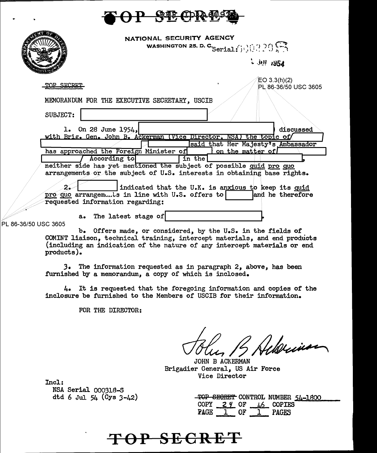

|                                  | NATIONAL SECURITY AGENCY<br>WASHINGTON 25, D. C. Serial: $\bigcap_{i=1}^{n} \bigcap_{i=1}^{n} \bigcap_{i=1}^{n} \bigcap_{i=1}^{n} \bigcap_{i=1}^{n} \bigcap_{i=1}^{n} \bigcap_{i=1}^{n} \bigcap_{i=1}^{n} \bigcap_{i=1}^{n} \bigcap_{i=1}^{n} \bigcap_{i=1}^{n} \bigcap_{i=1}^{n} \bigcap_{i=1}^{n} \bigcap_{i=1}^{n} \bigcap_{i=1}^{n} \bigcap_{i=1}^{n} \bigcap_{i=1}^{n} \bigcap_{$ |
|----------------------------------|----------------------------------------------------------------------------------------------------------------------------------------------------------------------------------------------------------------------------------------------------------------------------------------------------------------------------------------------------------------------------------------|
|                                  | $\cdot$ 001 1954                                                                                                                                                                                                                                                                                                                                                                       |
| TOP STORET                       | EO $3.3(h)(2)$<br>PL 86-36/50 USC 3605<br>MEMORANDUM FOR THE EXECUTIVE SECRETARY, USCIB                                                                                                                                                                                                                                                                                                |
| SUBJECT:                         |                                                                                                                                                                                                                                                                                                                                                                                        |
| 1. On 28 June $1954$             | discussed<br>with Brig. Gen. John B. Ackerman (Vice Director, NSA) the topic of<br>said that Her Majesty's Ambassador                                                                                                                                                                                                                                                                  |
| According to                     | has approached the Foreign Minister of<br>on the matter of<br>in the<br>neither side has yet mentioned the subject of possible quid pro quo<br>arrangements or the subject of U.S. interests in obtaining base rights.                                                                                                                                                                 |
| requested information regarding: | indicated that the U.K. is anxious to keep its quid<br>pro quo arrangements in line with U.S. offers to<br>and he therefore                                                                                                                                                                                                                                                            |
| PL 86-36/50 USC 3605             | a. The latest stage of                                                                                                                                                                                                                                                                                                                                                                 |
|                                  | b. Offers made, or considered, by the U.S. in the fields of<br>COMINT liaison, technical training, intercept materials, and end products                                                                                                                                                                                                                                               |

(including an indication of the nature of any intercept materials or end products).

3. The information requested as in paragraph 2, above, has been furnished by a memorandum, a copy of which is inclosed.

4. It is requested that the foregoing information and copies of the inclosure be furnished to the Members of USCIB for their information.

FOR THE DIRECTOR:

Albuin

JOHN B ACKERMAN Brigadier General, US Air Force Vice Director

Incl:

NSA Serial 000318-S dtd 6 Jul 54 ( $Cys$  3-42)

|             |              |    |              | TOP SECRET CONTROL NUMBER 54-1800 |
|-------------|--------------|----|--------------|-----------------------------------|
| COPY        | <u>29</u> OF |    | $46$ COPIES  |                                   |
| <b>PAGE</b> |              | OF | <b>PAGES</b> |                                   |

TOP SECRET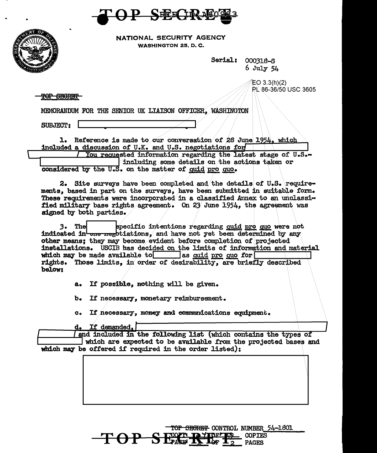**SEELID!** 



NATIONAL SECURITY AGENCY **WASHINGTON 25, D. C.** 

> Serial: 000318-S  $6$  July  $54$

> > $EO 3.3(h)(2)$ PL 86-36/50 USC 3605

TOP SECRET

MENORANDUM FOR THE SENIOR UK LIAISON OFFICER, WASHINGTON

SUBJECT:

1. Reference is made to our conversation of 28 June 1954, which included a discussion of U.K. and U.S. negotiations for You requested information regarding the latest stage of U.S.-

including some details on the actions taken or considered by the U.S. on the matter of quid pro quo.

2. Site surveys have been completed and the details of U.S. requirements, based in part on the surveys, have been submitted in suitable form. These requirements were incorporated in a classified Annex to an unclassified military base rights agreement. On 23 June 1954, the agreement was signed by both parties.

specific intentions regarding quid pro quo were not 3. Thel indicated in the negotiations, and have not yet been determined by any other means: they may become evident before completion of projected installations. USCIB has decided on the limits of information and material which may be made available to as quid pro quo for rights. Those limits, in order of desirability, are briefly described below:

> If possible, nothing will be given. a.

 $\mathbf{b}$ . If necessary, monetary reimbursement.

 $\alpha$ If necessary, momey and communications equipment.

d. If demanded.

and included in the following list (which contains the types of which are expected to be available from the projected bases and which may be offered if required in the order listed):